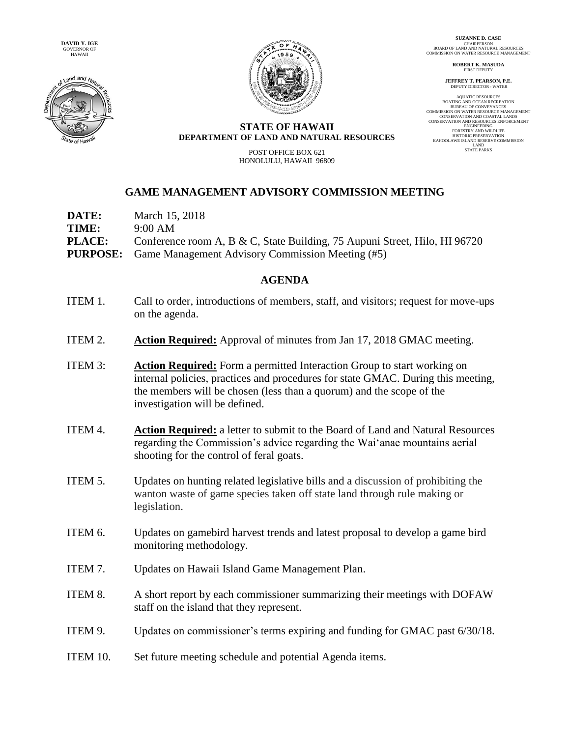



**SUZANNE D. CASE** CHAIRPERSON BOARD OF LAND AND NATURAL RESOURCES COMMISSION ON WATER RESOURCE MANAGEMENT

> **ROBERT K. MASUDA FIRST DEPUTY**

**JEFFREY T. PEARSON, P.E.** DEPUTY DIRECTOR - WATER

AQUATIC RESOURCES BOATING AND OCEAN RECREATION BUREAU OF CONVEYANCES BUKEAU OF CONVETANCES<br>COMMISSION ON WATER RESOURCE MANAGEMENT CONSERVATION AND COASTAL LANDS CONSERVATION AND RESOURCES ENFORCEMENT ENGINEERING ENGINEERING<br>FORESTRY AND WILDLIFE HISTORIC PRESERVATION KAHOOLAWE ISLAND RESERVE COMMISSION LAND STATE PARKS

## **STATE OF HAWAII DEPARTMENT OF LAND AND NATURAL RESOURCES**

POST OFFICE BOX 621 HONOLULU, HAWAII 96809

## **GAME MANAGEMENT ADVISORY COMMISSION MEETING**

| <b>DATE:</b>  | March 15, 2018                                                             |
|---------------|----------------------------------------------------------------------------|
| TIME:         | 9:00 AM                                                                    |
| <b>PLACE:</b> | Conference room A, B & C, State Building, 75 Aupuni Street, Hilo, HI 96720 |
|               | <b>PURPOSE:</b> Game Management Advisory Commission Meeting (#5)           |

## **AGENDA**

- ITEM 1. Call to order, introductions of members, staff, and visitors; request for move-ups on the agenda.
- ITEM 2. **Action Required:** Approval of minutes from Jan 17, 2018 GMAC meeting.
- ITEM 3: **Action Required:** Form a permitted Interaction Group to start working on internal policies, practices and procedures for state GMAC. During this meeting, the members will be chosen (less than a quorum) and the scope of the investigation will be defined.
- ITEM 4. **Action Required:** a letter to submit to the Board of Land and Natural Resources regarding the Commission's advice regarding the Wai'anae mountains aerial shooting for the control of feral goats.
- ITEM 5. Updates on hunting related legislative bills and a discussion of prohibiting the wanton waste of game species taken off state land through rule making or legislation.
- ITEM 6. Updates on gamebird harvest trends and latest proposal to develop a game bird monitoring methodology.
- ITEM 7. Updates on Hawaii Island Game Management Plan.
- ITEM 8. A short report by each commissioner summarizing their meetings with DOFAW staff on the island that they represent.
- ITEM 9. Updates on commissioner's terms expiring and funding for GMAC past 6/30/18.
- ITEM 10. Set future meeting schedule and potential Agenda items.